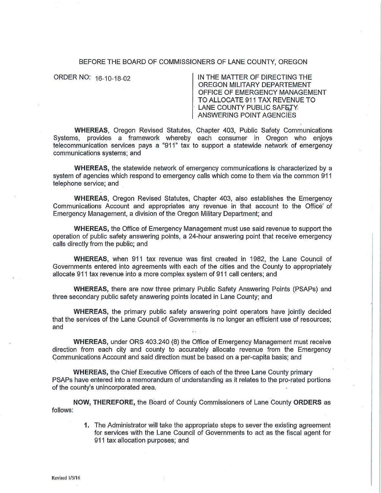## BEFORE THE BOARD OF COMMISSIONERS OF LANE COUNTY, OREGON

ORDER NO: 16-10-18-02 | IN THE MATTER OF DIRECTING THE OREGON MILITARY DEPARTEMENT OFFICE OF EMERGENCY MANAGEMENT TO ALLOCATE 911 TAX REVENUE TO LANE COUNTY PUBLIC SAFETY. ANSWERING POINT AGENCIES

**WHEREAS,** Oregon Revised Statutes, Chapter 403, Public Safety Communications Systems, provides a framework whereby each consumer in Oregon who enjoys telecommunication services pays a "911 " tax to support a statewide network of emergency communications systems; and

**WHEREAS,** the statewide network of emergency communications is characterized by a system of agencies which respond to emergency calls which come to them via the common 911 telephone service; and

**WHEREAS,** Oregon Revised Statutes, Chapter 403, also establishes the Emergency Communications Account and appropriates any revenue in that account to the Office of Emergency Management, a division of the Oregon Military Department; and

**WHEREAS,** the Office of Emergency Management must use said revenue to support the operation of public safety answering points, a 24-hour answering point that receive emergency calls directly from the public; and

**WHEREAS,** when 911 tax revenue was first created in 1982, the Lane Council of Governments entered into agreements with each of the cities and the County to appropriately allocate 911 tax revenue into a more complex system of 911 call centers; and

**WHEREAS,** there are now three primary Public Safety Answering Points (PSAPs) and three secondary public safety answering points located in Lane County; and

**WHEREAS,** the primary public safety answering point operators have jointly decided that the services of the Lane Council of Governments is no longer an efficient use of resources; and

**WHEREAS,** under ORS 403.240 (8) the Office of Emergency Management must receive direction from each city and county to accurately allocate revenue from the Emergency Communications Account and said direction must be based on a per-capita basis; and

**WHEREAS,** the Chief Executive Officers of each of the three Lane County primary PSAPs have entered into a memorandum of understanding as it relates to the pro-rated portions of the county's unincorporated area.

**NOW, THEREFORE,** the Board of Counfy Commissioners of Lane County **ORDERS** as follows:

> **1.** The Administrator will take the appropriate steps to sever the existing agreement for services with the Lane Council of Governments to act as the fiscal agent for 911 tax allocation purposes; and